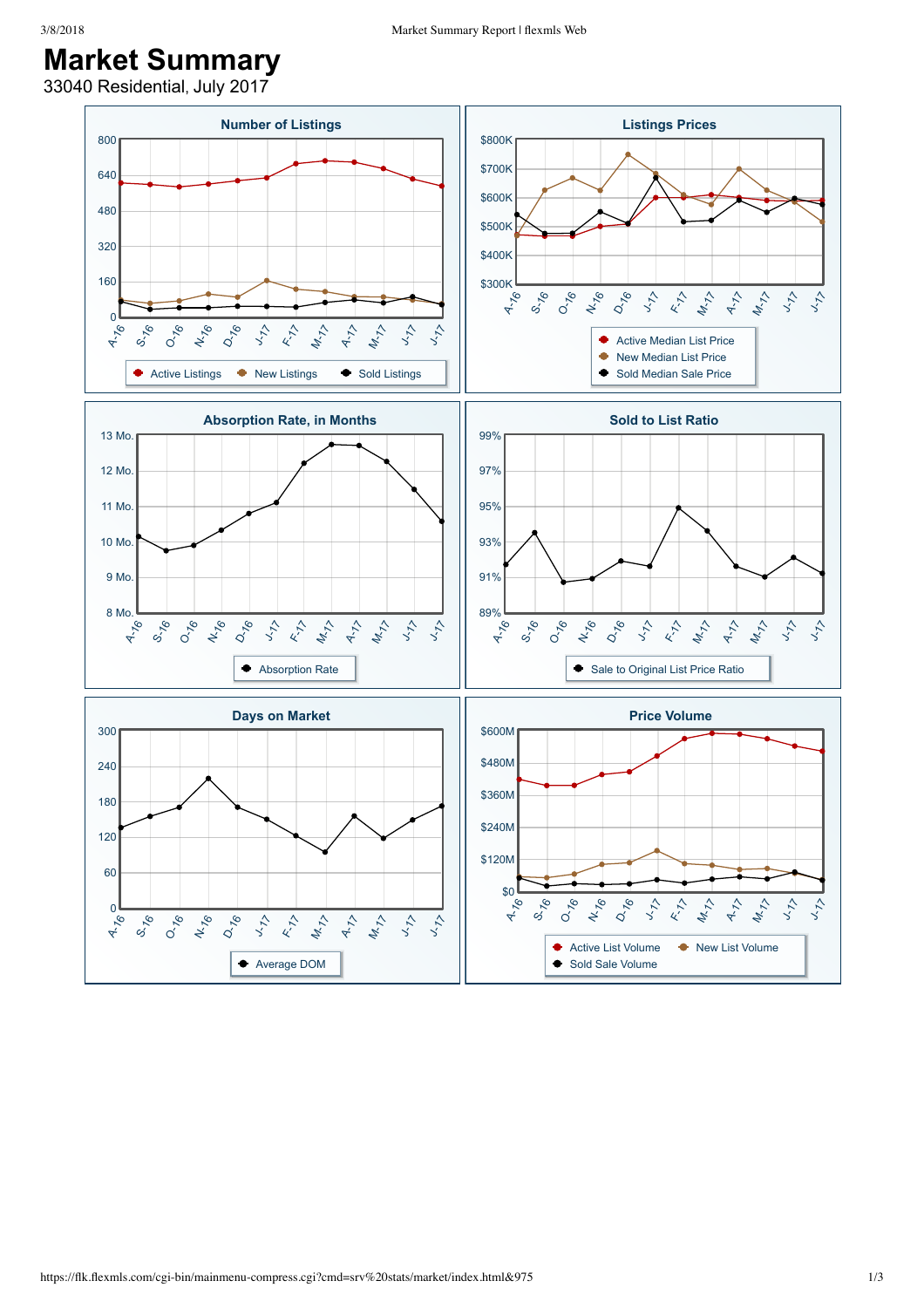## **Market Summary**

33040 Residential, July 2017

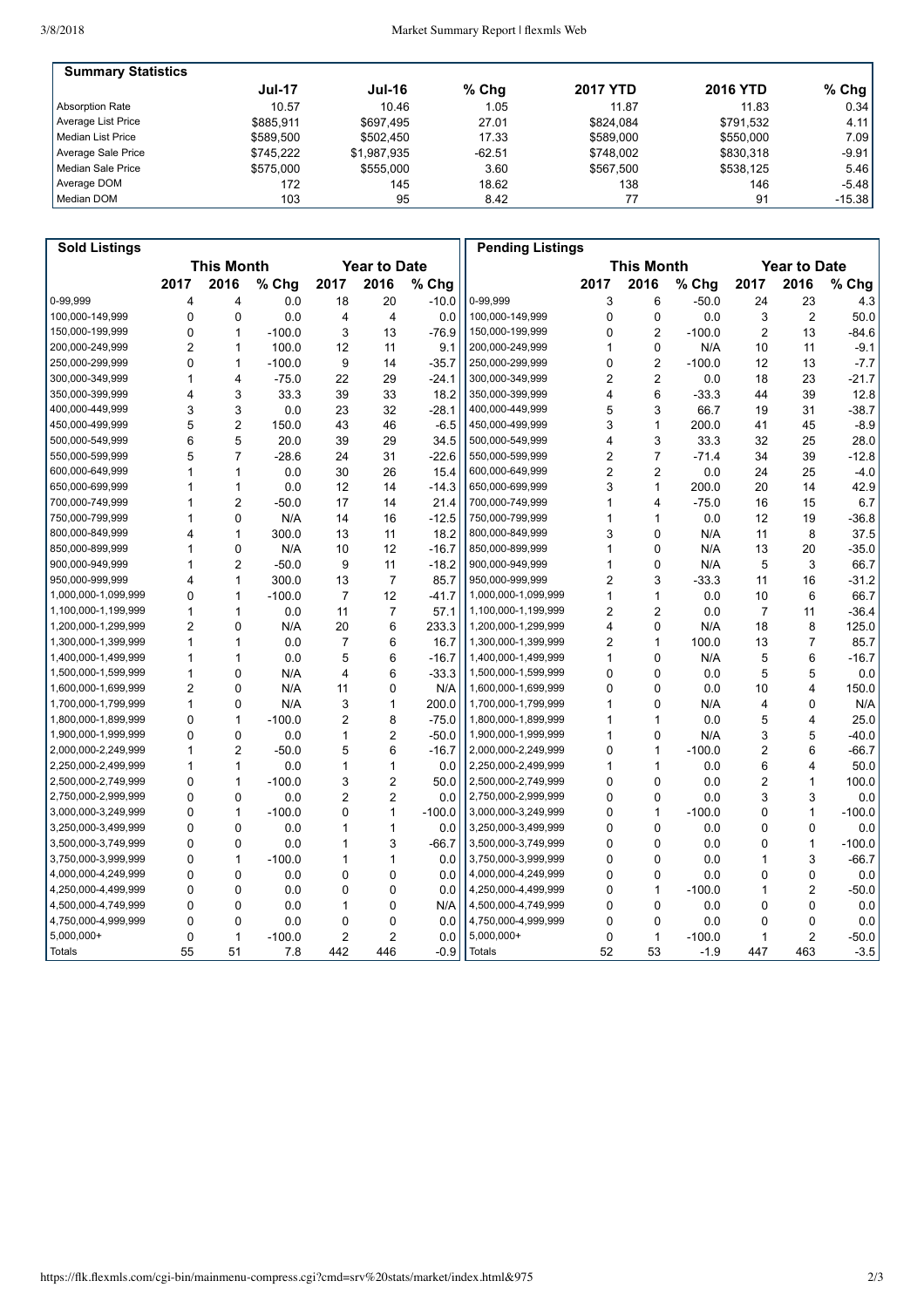| <b>Summary Statistics</b> |               |               |          |                 |                 |          |
|---------------------------|---------------|---------------|----------|-----------------|-----------------|----------|
|                           | <b>Jul-17</b> | <b>Jul-16</b> | $%$ Chg  | <b>2017 YTD</b> | <b>2016 YTD</b> | $%$ Chg  |
| <b>Absorption Rate</b>    | 10.57         | 10.46         | 1.05     | 11.87           | 11.83           | 0.34     |
| Average List Price        | \$885.911     | \$697.495     | 27.01    | \$824.084       | \$791.532       | 4.11     |
| l Median List Price       | \$589.500     | \$502.450     | 17.33    | \$589,000       | \$550,000       | 7.09     |
| Average Sale Price        | \$745.222     | \$1,987,935   | $-62.51$ | \$748.002       | \$830,318       | -9.91    |
| Median Sale Price         | \$575,000     | \$555,000     | 3.60     | \$567.500       | \$538,125       | 5.46     |
| Average DOM               | 172           | 145           | 18.62    | 138             | 146             | $-5.48$  |
| Median DOM                | 103           | 95            | 8.42     |                 | 91              | $-15.38$ |

| <b>Sold Listings</b> |                                          |                |          |                |                |          | <b>Pending Listings</b> |                |                |          |                |                     |          |  |
|----------------------|------------------------------------------|----------------|----------|----------------|----------------|----------|-------------------------|----------------|----------------|----------|----------------|---------------------|----------|--|
|                      | <b>This Month</b><br><b>Year to Date</b> |                |          |                |                |          | <b>This Month</b>       |                |                |          |                | <b>Year to Date</b> |          |  |
|                      | 2017                                     | 2016           | % Chg    | 2017           | 2016           | % Chg    |                         | 2017           | 2016           | % Chg    | 2017           | 2016                | % Chg    |  |
| 0-99,999             | 4                                        | 4              | 0.0      | 18             | 20             | $-10.0$  | 0-99,999                | 3              | 6              | $-50.0$  | 24             | 23                  | 4.3      |  |
| 100.000-149.999      | 0                                        | 0              | 0.0      | 4              | 4              | 0.0      | 100,000-149,999         | 0              | 0              | 0.0      | 3              | $\overline{2}$      | 50.0     |  |
| 150,000-199,999      | $\Omega$                                 | $\mathbf{1}$   | $-100.0$ | 3              | 13             | $-76.9$  | 150,000-199,999         | 0              | $\overline{2}$ | $-100.0$ | $\overline{2}$ | 13                  | $-84.6$  |  |
| 200,000-249,999      | $\overline{c}$                           | 1              | 100.0    | 12             | 11             | 9.1      | 200,000-249,999         | 1              | $\mathbf 0$    | N/A      | 10             | 11                  | $-9.1$   |  |
| 250,000-299,999      | 0                                        | 1              | $-100.0$ | 9              | 14             | $-35.7$  | 250,000-299,999         | 0              | $\overline{2}$ | $-100.0$ | 12             | 13                  | $-7.7$   |  |
| 300,000-349,999      | 1                                        | 4              | $-75.0$  | 22             | 29             | $-24.1$  | 300,000-349,999         | $\overline{2}$ | 2              | 0.0      | 18             | 23                  | $-21.7$  |  |
| 350,000-399,999      | 4                                        | 3              | 33.3     | 39             | 33             | 18.2     | 350,000-399,999         | 4              | 6              | $-33.3$  | 44             | 39                  | 12.8     |  |
| 400,000-449,999      | 3                                        | 3              | 0.0      | 23             | 32             | $-28.1$  | 400,000-449,999         | 5              | 3              | 66.7     | 19             | 31                  | $-38.7$  |  |
| 450,000-499,999      | 5                                        | $\overline{2}$ | 150.0    | 43             | 46             | $-6.5$   | 450,000-499,999         | 3              | 1              | 200.0    | 41             | 45                  | $-8.9$   |  |
| 500,000-549,999      | 6                                        | 5              | 20.0     | 39             | 29             | 34.5     | 500,000-549,999         | 4              | 3              | 33.3     | 32             | 25                  | 28.0     |  |
| 550,000-599,999      | 5                                        | $\overline{7}$ | $-28.6$  | 24             | 31             | $-22.6$  | 550,000-599,999         | $\overline{2}$ | $\overline{7}$ | $-71.4$  | 34             | 39                  | $-12.8$  |  |
| 600,000-649,999      | 1                                        | 1              | 0.0      | 30             | 26             | 15.4     | 600,000-649,999         | $\overline{2}$ | $\overline{2}$ | 0.0      | 24             | 25                  | $-4.0$   |  |
| 650,000-699,999      | 1                                        | 1              | 0.0      | 12             | 14             | $-14.3$  | 650,000-699,999         | 3              | $\mathbf{1}$   | 200.0    | 20             | 14                  | 42.9     |  |
| 700,000-749,999      | 1                                        | $\overline{2}$ | $-50.0$  | 17             | 14             | 21.4     | 700,000-749,999         | 1              | 4              | $-75.0$  | 16             | 15                  | 6.7      |  |
| 750,000-799,999      | 1                                        | $\Omega$       | N/A      | 14             | 16             | $-12.5$  | 750,000-799,999         | 1              | 1              | 0.0      | 12             | 19                  | $-36.8$  |  |
| 800,000-849,999      | 4                                        | 1              | 300.0    | 13             | 11             | 18.2     | 800,000-849,999         | 3              | $\mathbf 0$    | N/A      | 11             | 8                   | 37.5     |  |
| 850,000-899,999      | 1                                        | 0              | N/A      | 10             | 12             | $-16.7$  | 850,000-899,999         | 1              | $\mathbf 0$    | N/A      | 13             | 20                  | $-35.0$  |  |
| 900,000-949,999      | 1                                        | $\overline{2}$ | $-50.0$  | 9              | 11             | $-18.2$  | 900,000-949,999         | 1              | 0              | N/A      | 5              | 3                   | 66.7     |  |
| 950,000-999,999      | 4                                        | 1              | 300.0    | 13             | $\overline{7}$ | 85.7     | 950,000-999,999         | $\overline{2}$ | 3              | $-33.3$  | 11             | 16                  | $-31.2$  |  |
| 1,000,000-1,099,999  | 0                                        | 1              | $-100.0$ | $\overline{7}$ | 12             | $-41.7$  | 1,000,000-1,099,999     | 1              | 1              | 0.0      | 10             | 6                   | 66.7     |  |
| 1,100,000-1,199,999  | 1                                        | 1              | 0.0      | 11             | $\overline{7}$ | 57.1     | 1,100,000-1,199,999     | $\overline{c}$ | $\overline{2}$ | 0.0      | $\overline{7}$ | 11                  | $-36.4$  |  |
| 1,200,000-1,299,999  | $\overline{2}$                           | 0              | N/A      | 20             | 6              | 233.3    | 1,200,000-1,299,999     | 4              | $\Omega$       | N/A      | 18             | 8                   | 125.0    |  |
| 1,300,000-1,399,999  | 1                                        | $\mathbf{1}$   | 0.0      | 7              | 6              | 16.7     | 1,300,000-1,399,999     | 2              | 1              | 100.0    | 13             | $\overline{7}$      | 85.7     |  |
| 1,400,000-1,499,999  | 1                                        | 1              | 0.0      | 5              | 6              | $-16.7$  | 1,400,000-1,499,999     | 1              | $\mathbf 0$    | N/A      | 5              | 6                   | $-16.7$  |  |
| 1,500,000-1,599,999  | 1                                        | 0              | N/A      | 4              | 6              | $-33.3$  | 1,500,000-1,599,999     | 0              | $\Omega$       | 0.0      | 5              | 5                   | 0.0      |  |
| 1,600,000-1,699,999  | 2                                        | 0              | N/A      | 11             | 0              | N/A      | 1,600,000-1,699,999     | 0              | 0              | 0.0      | 10             | 4                   | 150.0    |  |
| 1,700,000-1,799,999  | 1                                        | $\Omega$       | N/A      | 3              | $\mathbf{1}$   | 200.0    | 1,700,000-1,799,999     | 1              | $\mathbf{0}$   | N/A      | 4              | 0                   | N/A      |  |
| 1,800,000-1,899,999  | 0                                        | $\mathbf{1}$   | $-100.0$ | 2              | 8              | $-75.0$  | 1,800,000-1,899,999     | 1              | 1              | 0.0      | 5              | $\overline{4}$      | 25.0     |  |
| 1,900,000-1,999,999  | 0                                        | 0              | 0.0      | 1              | $\overline{2}$ | $-50.0$  | 1,900,000-1,999,999     | 1              | 0              | N/A      | 3              | 5                   | $-40.0$  |  |
| 2,000,000-2,249,999  | 1                                        | $\overline{2}$ | $-50.0$  | 5              | 6              | $-16.7$  | 2,000,000-2,249,999     | 0              | 1              | $-100.0$ | $\overline{c}$ | 6                   | $-66.7$  |  |
| 2,250,000-2,499,999  | 1                                        | 1              | 0.0      | 1              | 1              | 0.0      | 2,250,000-2,499,999     | 1              | 1              | 0.0      | 6              | 4                   | 50.0     |  |
| 2,500,000-2,749,999  | 0                                        | 1              | $-100.0$ | 3              | $\overline{c}$ | 50.0     | 2,500,000-2,749,999     | 0              | $\mathbf 0$    | 0.0      | $\overline{2}$ | $\mathbf{1}$        | 100.0    |  |
| 2,750,000-2,999,999  | 0                                        | 0              | 0.0      | 2              | $\overline{2}$ | 0.0      | 2,750,000-2,999,999     | 0              | 0              | 0.0      | 3              | 3                   | 0.0      |  |
| 3,000,000-3,249,999  | 0                                        | 1              | $-100.0$ | 0              | $\mathbf{1}$   | $-100.0$ | 3,000,000-3,249,999     | 0              | 1              | $-100.0$ | 0              | $\mathbf{1}$        | $-100.0$ |  |
| 3,250,000-3,499,999  | 0                                        | 0              | 0.0      | 1              | 1              | 0.0      | 3,250,000-3,499,999     | 0              | $\mathbf 0$    | 0.0      | 0              | 0                   | 0.0      |  |
| 3,500,000-3,749,999  | 0                                        | 0              | 0.0      | 1              | 3              | $-66.7$  | 3,500,000-3,749,999     | 0              | 0              | 0.0      | 0              | $\mathbf{1}$        | $-100.0$ |  |
| 3,750,000-3,999,999  | $\Omega$                                 | $\mathbf{1}$   | $-100.0$ | 1              | $\mathbf{1}$   | 0.0      | 3,750,000-3,999,999     | 0              | $\Omega$       | 0.0      | 1              | 3                   | $-66.7$  |  |
| 4,000,000-4,249,999  | $\Omega$                                 | 0              | 0.0      | 0              | $\mathbf 0$    | 0.0      | 4,000,000-4,249,999     | 0              | 0              | 0.0      | 0              | 0                   | 0.0      |  |
| 4,250,000-4,499,999  | 0                                        | 0              | 0.0      | 0              | $\mathbf{0}$   | 0.0      | 4,250,000-4,499,999     | 0              | 1              | $-100.0$ | 1              | $\overline{2}$      | $-50.0$  |  |
| 4,500,000-4,749,999  | 0                                        | 0              | 0.0      | 1              | 0              | N/A      | 4,500,000-4,749,999     | 0              | $\mathbf 0$    | 0.0      | 0              | 0                   | 0.0      |  |
| 4,750,000-4,999,999  | 0                                        | 0              | 0.0      | 0              | 0              | 0.0      | 4,750,000-4,999,999     | 0              | 0              | 0.0      | 0              | 0                   | 0.0      |  |
| $5,000,000+$         | 0                                        | $\mathbf{1}$   | $-100.0$ | 2              | $\overline{2}$ | 0.0      | 5,000,000+              | 0              | 1              | $-100.0$ | 1              | $\overline{2}$      | $-50.0$  |  |
| Totals               | 55                                       | 51             | 7.8      | 442            | 446            | $-0.9$   | <b>Totals</b>           | 52             | 53             | $-1.9$   | 447            | 463                 | $-3.5$   |  |